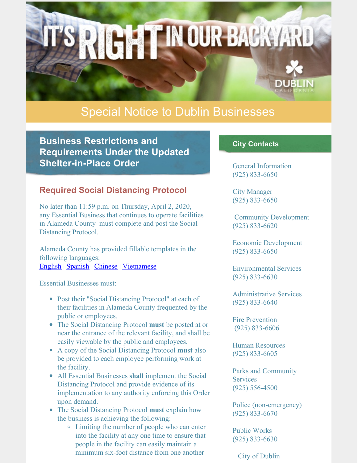# Special Notice to Dublin Businesses

**IGHTINOUR BACKYARD** 

**Business Restrictions and Requirements Under the Updated Shelter-in-Place Order**

## **Required Social Distancing Protocol**

No later than 11:59 p.m. on Thursday, April 2, 2020, any Essential Business that continues to operate facilities in Alameda County must complete and post the Social Distancing Protocol.

Alameda County has provided fillable templates in the following languages: [English](https://covid-19.acgov.org/covid19-assets/docs/appendix-a-social-distancing-protocol English.docx) | [Spanish](https://covid-19.acgov.org/covid19-assets/docs/9 03.31.20 Appendix A - Social Distancing Protocol - SPANISH.docx) | [Chinese](https://covid-19.acgov.org/covid19-assets/docs/8 03.31.20 Appendix A - Social Distancing Protocol - CHINESE FINAL.docx) | [Vietnamese](https://covid-19.acgov.org/covid19-assets/docs/10 03.31.20 Appendix A - Social Distancing Protocol - VIETNAMESE.docx)

Essential Businesses must:

- Post their "Social Distancing Protocol" at each of their facilities in Alameda County frequented by the public or employees.
- The Social Distancing Protocol **must** be posted at or near the entrance of the relevant facility, and shall be easily viewable by the public and employees.
- A copy of the Social Distancing Protocol **must** also be provided to each employee performing work at the facility.
- All Essential Businesses **shall** implement the Social Distancing Protocol and provide evidence of its implementation to any authority enforcing this Order upon demand.
- The Social Distancing Protocol **must** explain how the business is achieving the following:
	- Limiting the number of people who can enter into the facility at any one time to ensure that people in the facility can easily maintain a minimum six-foot distance from one another

#### **City Contacts**

General Information (925) 833-6650

City Manager (925) 833-6650

Community Development (925) 833-6620

Economic Development (925) 833-6650

Environmental Services (925) 833-6630

Administrative Services (925) 833-6640

Fire Prevention (925) 833-6606

Human Resources (925) 833-6605

Parks and Community **Services** (925) 556-4500

Police (non-emergency) (925) 833-6670

Public Works (925) 833-6630

City of Dublin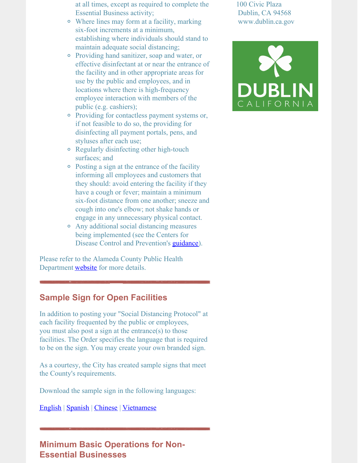- at all times, except as required to complete the Essential Business activity;
- Where lines may form at a facility, marking six-foot increments at a minimum, establishing where individuals should stand to maintain adequate social distancing;
- Providing hand sanitizer, soap and water, or effective disinfectant at or near the entrance of the facility and in other appropriate areas for use by the public and employees, and in locations where there is high-frequency employee interaction with members of the public (e.g. cashiers);
- Providing for contactless payment systems or, if not feasible to do so, the providing for disinfecting all payment portals, pens, and styluses after each use;
- Regularly disinfecting other high-touch surfaces; and
- Posting a sign at the entrance of the facility informing all employees and customers that they should: avoid entering the facility if they have a cough or fever; maintain a minimum six-foot distance from one another; sneeze and cough into one's elbow; not shake hands or engage in any unnecessary physical contact.
- Any additional social distancing measures being implemented (see the Centers for Disease Control and Prevention's *[guidance](https://www.cdc.gov/coronavirus/2019-ncov/community/organizations/businesses-employers.html)*).

Please refer to the Alameda County Public Health Department **[website](http://www.acphd.org/2019-ncov.aspx)** for more details.

## **Sample Sign for Open Facilities**

In addition to posting your "Social Distancing Protocol" at each facility frequented by the public or employees, you must also post a sign at the entrance(s) to those facilities. The Order specifies the language that is required to be on the sign. You may create your own branded sign.

As a courtesy, the City has created sample signs that meet the County's requirements.

Download the sample sign in the following languages:

[English](https://files.constantcontact.com/76ac12bc001/c14d772f-0ed0-4e6f-96e7-2dcc2c73e317.pdf) | [Spanish](https://files.constantcontact.com/76ac12bc001/1cae0289-9914-4e8f-8019-b66f3d1f8231.pdf) | [Chinese](https://files.constantcontact.com/76ac12bc001/09934ef6-49eb-4b61-8235-0f86aa51962f.pdf) | [Vietnamese](https://files.constantcontact.com/76ac12bc001/575c1d7b-a583-48f9-9765-74e4f50f1be3.pdf)

# **Minimum Basic Operations for Non-Essential Businesses**

100 Civic Plaza Dublin, CA 94568 www.dublin.ca.gov

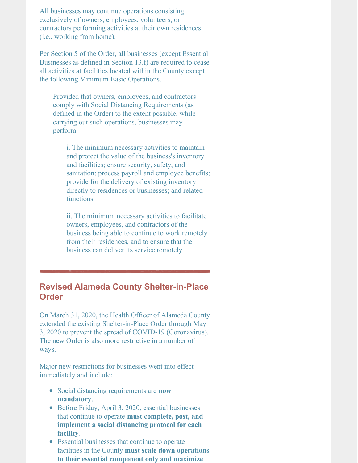All businesses may continue operations consisting exclusively of owners, employees, volunteers, or contractors performing activities at their own residences (i.e., working from home).

Per Section 5 of the Order, all businesses (except Essential Businesses as defined in Section 13.f) are required to cease all activities at facilities located within the County except the following Minimum Basic Operations.

Provided that owners, employees, and contractors comply with Social Distancing Requirements (as defined in the Order) to the extent possible, while carrying out such operations, businesses may perform:

i. The minimum necessary activities to maintain and protect the value of the business's inventory and facilities; ensure security, safety, and sanitation; process payroll and employee benefits; provide for the delivery of existing inventory directly to residences or businesses; and related functions.

ii. The minimum necessary activities to facilitate owners, employees, and contractors of the business being able to continue to work remotely from their residences, and to ensure that the business can deliver its service remotely.

## **Revised Alameda County Shelter-in-Place Order**

On March 31, 2020, the Health Officer of Alameda County extended the existing Shelter-in-Place Order through May 3, 2020 to prevent the spread of COVID-19 (Coronavirus). The new Order is also more restrictive in a number of ways.

Major new restrictions for businesses went into effect immediately and include:

- Social distancing requirements are **now mandatory**.
- Before Friday, April 3, 2020, essential businesses that continue to operate **must complete, post, and implement a social distancing protocol for each facility***.*
- Essential businesses that continue to operate facilities in the County **must scale down operations to their essential component only and maximize**